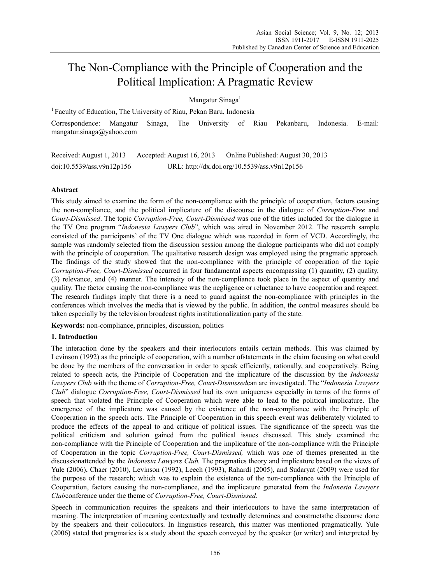# The Non-Compliance with the Principle of Cooperation and the Political Implication: A Pragmatic Review

Mangatur Sinaga<sup>1</sup>

<sup>1</sup> Faculty of Education, The University of Riau, Pekan Baru, Indonesia

Correspondence: Mangatur Sinaga, The University of Riau Pekanbaru, Indonesia. E-mail: mangatur.sinaga@yahoo.com

Received: August 1, 2013 Accepted: August 16, 2013 Online Published: August 30, 2013 doi:10.5539/ass.v9n12p156 URL: http://dx.doi.org/10.5539/ass.v9n12p156

## **Abstract**

This study aimed to examine the form of the non-compliance with the principle of cooperation, factors causing the non-compliance, and the political implicature of the discourse in the dialogue of *Corruption-Free* and *Court-Dismissed*. The topic *Corruption-Free, Court-Dismissed* was one of the titles included for the dialogue in the TV One program "*Indonesia Lawyers Club*", which was aired in November 2012. The research sample consisted of the participants' of the TV One dialogue which was recorded in form of VCD. Accordingly, the sample was randomly selected from the discussion session among the dialogue participants who did not comply with the principle of cooperation. The qualitative research design was employed using the pragmatic approach. The findings of the study showed that the non-compliance with the principle of cooperation of the topic *Corruption-Free, Court-Dismissed* occurred in four fundamental aspects encompassing (1) quantity, (2) quality, (3) relevance, and (4) manner. The intensity of the non-compliance took place in the aspect of quantity and quality. The factor causing the non-compliance was the negligence or reluctance to have cooperation and respect. The research findings imply that there is a need to guard against the non-compliance with principles in the conferences which involves the media that is viewed by the public. In addition, the control measures should be taken especially by the television broadcast rights institutionalization party of the state.

**Keywords:** non-compliance, principles, discussion, politics

#### **1. Introduction**

The interaction done by the speakers and their interlocutors entails certain methods. This was claimed by Levinson (1992) as the principle of cooperation, with a number ofstatements in the claim focusing on what could be done by the members of the conversation in order to speak efficiently, rationally, and cooperatively. Being related to speech acts, the Principle of Cooperation and the implicature of the discussion by the *Indonesia Lawyers Club* with the theme of *Corruption-Free, Court-Dismissed*can are investigated. The "*Indonesia Lawyers Club*" dialogue *Corruption-Free, Court-Dismissed* had its own uniqueness especially in terms of the forms of speech that violated the Principle of Cooperation which were able to lead to the political implicature. The emergence of the implicature was caused by the existence of the non-compliance with the Principle of Cooperation in the speech acts. The Principle of Cooperation in this speech event was deliberately violated to produce the effects of the appeal to and critique of political issues. The significance of the speech was the political criticism and solution gained from the political issues discussed. This study examined the non-compliance with the Principle of Cooperation and the implicature of the non-compliance with the Principle of Cooperation in the topic *Corruption-Free, Court-Dismissed,* which was one of themes presented in the discussionattended by the *Indonesia Lawyers Club.* The pragmatics theory and implicature based on the views of Yule (2006), Chaer (2010), Levinson (1992), Leech (1993), Rahardi (2005), and Sudaryat (2009) were used for the purpose of the research; which was to explain the existence of the non-compliance with the Principle of Cooperation, factors causing the non-compliance, and the implicature generated from the *Indonesia Lawyers Club*conference under the theme of *Corruption-Free, Court-Dismissed.* 

Speech in communication requires the speakers and their interlocutors to have the same interpretation of meaning. The interpretation of meaning contextually and textually determines and constructsthe discourse done by the speakers and their collocutors. In linguistics research, this matter was mentioned pragmatically. Yule (2006) stated that pragmatics is a study about the speech conveyed by the speaker (or writer) and interpreted by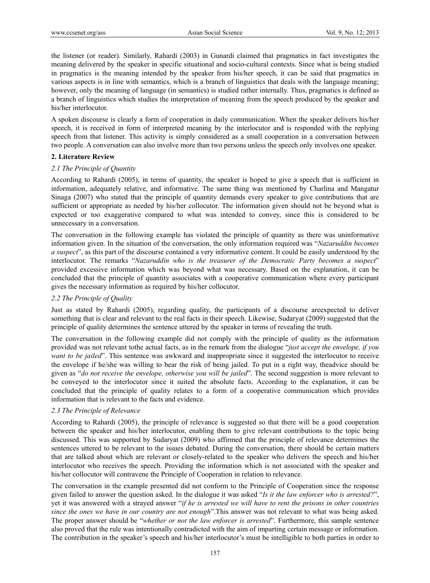the listener (or reader). Similarly, Rahardi (2003) in Gunardi claimed that pragmatics in fact investigates the meaning delivered by the speaker in specific situational and socio-cultural contexts. Since what is being studied in pragmatics is the meaning intended by the speaker from his/her speech, it can be said that pragmatics in various aspects is in line with semantics, which is a branch of linguistics that deals with the language meaning; however, only the meaning of language (in semantics) is studied rather internally. Thus, pragmatics is defined as a branch of linguistics which studies the interpretation of meaning from the speech produced by the speaker and his/her interlocutor.

A spoken discourse is clearly a form of cooperation in daily communication. When the speaker delivers his/her speech, it is received in form of interpreted meaning by the interlocutor and is responded with the replying speech from that listener. This activity is simply considered as a small cooperation in a conversation between two people. A conversation can also involve more than two persons unless the speech only involves one speaker.

#### **2. Literature Review**

#### *2.1 The Principle of Quantity*

According to Rahardi (2005), in terms of quantity, the speaker is hoped to give a speech that is sufficient in information, adequately relative, and informative. The same thing was mentioned by Charlina and Mangatur Sinaga (2007) who stated that the principle of quantity demands every speaker to give contributions that are sufficient or appropriate as needed by his/her collocutor. The information given should not be beyond what is expected or too exaggerative compared to what was intended to convey, since this is considered to be unnecessary in a conversation.

The conversation in the following example has violated the principle of quantity as there was uninformative information given. In the situation of the conversation, the only information required was "*Nazaruddin becomes a suspect*", as this part of the discourse contained a very informative content. It could be easily understood by the interlocutor. The remarks "*Nazaruddin who is the treasurer of the Democratic Party becomes a suspect*" provided excessive information which was beyond what was necessary. Based on the explanation, it can be concluded that the principle of quantity associates with a cooperative communication where every participant gives the necessary information as required by his/her collocutor.

#### *2.2 The Principle of Quality*

Just as stated by Rahardi (2005), regarding quality, the participants of a discourse areexpected to deliver something that is clear and relevant to the real facts in their speech. Likewise, Sudaryat (2009) suggested that the principle of quality determines the sentence uttered by the speaker in terms of revealing the truth.

The conversation in the following example did not comply with the principle of quality as the information provided was not relevant tothe actual facts, as in the remark from the dialogue "*just accept the envelope, if you want to be jailed*". This sentence was awkward and inappropriate since it suggested the interlocutor to receive the envelope if he/she was willing to bear the risk of being jailed. To put in a right way, theadvice should be given as "*do not receive the envelope, otherwise you will be jailed*". The second suggestion is more relevant to be conveyed to the interlocutor since it suited the absolute facts. According to the explanation, it can be concluded that the principle of quality relates to a form of a cooperative communication which provides information that is relevant to the facts and evidence.

#### *2.3 The Principle of Relevance*

According to Rahardi (2005), the principle of relevance is suggested so that there will be a good cooperation between the speaker and his/her interlocutor, enabling them to give relevant contributions to the topic being discussed. This was supported by Sudaryat (2009) who affirmed that the principle of relevance determines the sentences uttered to be relevant to the issues debated. During the conversation, there should be certain matters that are talked about which are relevant or closely-related to the speaker who delivers the speech and his/her interlocutor who receives the speech. Providing the information which is not associated with the speaker and his/her collocutor will contravene the Principle of Cooperation in relation to relevance.

The conversation in the example presented did not conform to the Principle of Cooperation since the response given failed to answer the question asked. In the dialogue it was asked "*Is it the law enforcer who is arrested?*", yet it was answered with a strayed answer "*if he is arrested we will have to rent the prisons in other countries since the ones we have in our country are not enough*".This answer was not relevant to what was being asked. The proper answer should be "*whether or not the law enforcer is arrested*". Furthermore, this sample sentence also proved that the rule was intentionally contradicted with the aim of imparting certain message or information. The contribution in the speaker's speech and his/her interlocutor's must be intelligible to both parties in order to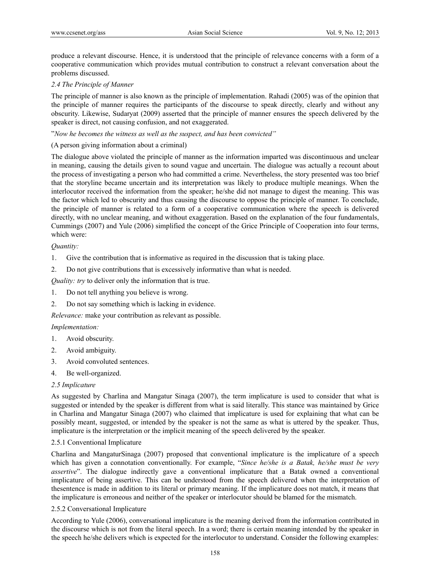produce a relevant discourse. Hence, it is understood that the principle of relevance concerns with a form of a cooperative communication which provides mutual contribution to construct a relevant conversation about the problems discussed.

### *2.4 The Principle of Manner*

The principle of manner is also known as the principle of implementation. Rahadi (2005) was of the opinion that the principle of manner requires the participants of the discourse to speak directly, clearly and without any obscurity. Likewise, Sudaryat (2009) asserted that the principle of manner ensures the speech delivered by the speaker is direct, not causing confusion, and not exaggerated.

#### "*Now he becomes the witness as well as the suspect, and has been convicted"*

## (A person giving information about a criminal)

The dialogue above violated the principle of manner as the information imparted was discontinuous and unclear in meaning, causing the details given to sound vague and uncertain. The dialogue was actually a recount about the process of investigating a person who had committed a crime. Nevertheless, the story presented was too brief that the storyline became uncertain and its interpretation was likely to produce multiple meanings. When the interlocutor received the information from the speaker; he/she did not manage to digest the meaning. This was the factor which led to obscurity and thus causing the discourse to oppose the principle of manner. To conclude, the principle of manner is related to a form of a cooperative communication where the speech is delivered directly, with no unclear meaning, and without exaggeration. Based on the explanation of the four fundamentals, Cummings (2007) and Yule (2006) simplified the concept of the Grice Principle of Cooperation into four terms, which were:

## *Quantity:*

- 1. Give the contribution that is informative as required in the discussion that is taking place.
- 2. Do not give contributions that is excessively informative than what is needed.

*Quality: try* to deliver only the information that is true.

- 1. Do not tell anything you believe is wrong.
- 2. Do not say something which is lacking in evidence.

*Relevance:* make your contribution as relevant as possible.

#### *Implementation:*

- 1. Avoid obscurity.
- 2. Avoid ambiguity.
- 3. Avoid convoluted sentences.
- 4. Be well-organized.

#### *2.5 Implicature*

As suggested by Charlina and Mangatur Sinaga (2007), the term implicature is used to consider that what is suggested or intended by the speaker is different from what is said literally. This stance was maintained by Grice in Charlina and Mangatur Sinaga (2007) who claimed that implicature is used for explaining that what can be possibly meant, suggested, or intended by the speaker is not the same as what is uttered by the speaker. Thus, implicature is the interpretation or the implicit meaning of the speech delivered by the speaker.

#### 2.5.1 Conventional Implicature

Charlina and MangaturSinaga (2007) proposed that conventional implicature is the implicature of a speech which has given a connotation conventionally. For example, "*Since he/she is a Batak, he/she must be very assertive*". The dialogue indirectly gave a conventional implicature that a Batak owned a conventional implicature of being assertive. This can be understood from the speech delivered when the interpretation of thesentence is made in addition to its literal or primary meaning. If the implicature does not match, it means that the implicature is erroneous and neither of the speaker or interlocutor should be blamed for the mismatch.

#### 2.5.2 Conversational Implicature

According to Yule (2006), conversational implicature is the meaning derived from the information contributed in the discourse which is not from the literal speech. In a word; there is certain meaning intended by the speaker in the speech he/she delivers which is expected for the interlocutor to understand. Consider the following examples: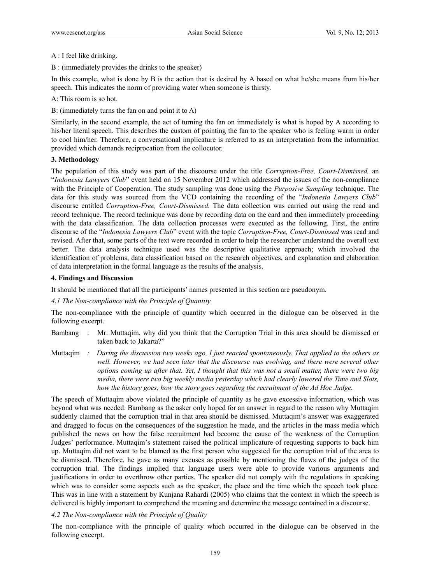#### A : I feel like drinking.

B : (immediately provides the drinks to the speaker)

In this example, what is done by B is the action that is desired by A based on what he/she means from his/her speech. This indicates the norm of providing water when someone is thirsty.

#### A: This room is so hot.

B: (immediately turns the fan on and point it to A)

Similarly, in the second example, the act of turning the fan on immediately is what is hoped by A according to his/her literal speech. This describes the custom of pointing the fan to the speaker who is feeling warm in order to cool him/her. Therefore, a conversational implicature is referred to as an interpretation from the information provided which demands reciprocation from the collocutor.

#### **3. Methodology**

The population of this study was part of the discourse under the title *Corruption-Free, Court-Dismissed,* an "*Indonesia Lawyers Club*" event held on 15 November 2012 which addressed the issues of the non-compliance with the Principle of Cooperation. The study sampling was done using the *Purposive Sampling* technique. The data for this study was sourced from the VCD containing the recording of the "*Indonesia Lawyers Club*" discourse entitled *Corruption-Free, Court-Dismissed.* The data collection was carried out using the read and record technique. The record technique was done by recording data on the card and then immediately proceeding with the data classification. The data collection processes were executed as the following. First, the entire discourse of the "*Indonesia Lawyers Club*" event with the topic *Corruption-Free, Court-Dismissed* was read and revised. After that, some parts of the text were recorded in order to help the researcher understand the overall text better. The data analysis technique used was the descriptive qualitative approach; which involved the identification of problems, data classification based on the research objectives, and explanation and elaboration of data interpretation in the formal language as the results of the analysis.

#### **4. Findings and Discussion**

It should be mentioned that all the participants' names presented in this section are pseudonym.

#### *4.1 The Non-compliance with the Principle of Quantity*

The non-compliance with the principle of quantity which occurred in the dialogue can be observed in the following excerpt.

- Bambang : Mr. Muttaqim, why did you think that the Corruption Trial in this area should be dismissed or taken back to Jakarta?"
- Muttaqim *: During the discussion two weeks ago, I just reacted spontaneously. That applied to the others as well. However, we had seen later that the discourse was evolving, and there were several other options coming up after that. Yet, I thought that this was not a small matter, there were two big media, there were two big weekly media yesterday which had clearly lowered the Time and Slots, how the history goes, how the story goes regarding the recruitment of the Ad Hoc Judge.*

The speech of Muttaqim above violated the principle of quantity as he gave excessive information, which was beyond what was needed. Bambang as the asker only hoped for an answer in regard to the reason why Muttaqim suddenly claimed that the corruption trial in that area should be dismissed. Muttaqim's answer was exaggerated and dragged to focus on the consequences of the suggestion he made, and the articles in the mass media which published the news on how the false recruitment had become the cause of the weakness of the Corruption Judges' performance. Muttaqim's statement raised the political implicature of requesting supports to back him up. Muttaqim did not want to be blamed as the first person who suggested for the corruption trial of the area to be dismissed. Therefore, he gave as many excuses as possible by mentioning the flaws of the judges of the corruption trial. The findings implied that language users were able to provide various arguments and justifications in order to overthrow other parties. The speaker did not comply with the regulations in speaking which was to consider some aspects such as the speaker, the place and the time which the speech took place. This was in line with a statement by Kunjana Rahardi (2005) who claims that the context in which the speech is delivered is highly important to comprehend the meaning and determine the message contained in a discourse.

## *4.2 The Non-compliance with the Principle of Quality*

The non-compliance with the principle of quality which occurred in the dialogue can be observed in the following excerpt.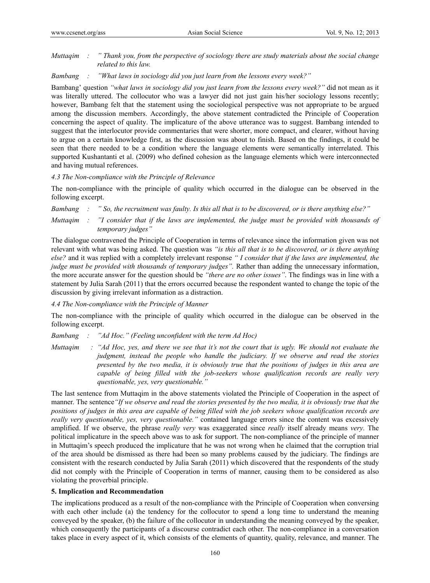### *Muttaqim : " Thank you, from the perspective of sociology there are study materials about the social change related to this law.*

#### *Bambang : "What laws in sociology did you just learn from the lessons every week?"*

Bambang' question *"what laws in sociology did you just learn from the lessons every week?"* did not mean as it was literally uttered. The collocutor who was a lawyer did not just gain his/her sociology lessons recently; however, Bambang felt that the statement using the sociological perspective was not appropriate to be argued among the discussion members. Accordingly, the above statement contradicted the Principle of Cooperation concerning the aspect of quality. The implicature of the above utterance was to suggest. Bambang intended to suggest that the interlocutor provide commentaries that were shorter, more compact, and clearer, without having to argue on a certain knowledge first, as the discussion was about to finish. Based on the findings, it could be seen that there needed to be a condition where the language elements were semantically interrelated. This supported Kushantanti et al. (2009) who defined cohesion as the language elements which were interconnected and having mutual references.

## *4.3 The Non-compliance with the Principle of Relevance*

The non-compliance with the principle of quality which occurred in the dialogue can be observed in the following excerpt.

*Bambang : " So, the recruitment was faulty. Is this all that is to be discovered, or is there anything else?"* 

*Muttaqim : "I consider that if the laws are implemented, the judge must be provided with thousands of temporary judges"* 

The dialogue contravened the Principle of Cooperation in terms of relevance since the information given was not relevant with what was being asked. The question was *"is this all that is to be discovered, or is there anything else?* and it was replied with a completely irrelevant response *" I consider that if the laws are implemented, the judge must be provided with thousands of temporary judges"*. Rather than adding the unnecessary information, the more accurate answer for the question should be *"there are no other issues"*. The findings was in line with a statement by Julia Sarah (2011) that the errors occurred because the respondent wanted to change the topic of the discussion by giving irrelevant information as a distraction.

*4.4 The Non-compliance with the Principle of Manner* 

The non-compliance with the principle of quality which occurred in the dialogue can be observed in the following excerpt.

*Bambang : "Ad Hoc." (Feeling unconfident with the term Ad Hoc)* 

*Muttaqim : "Ad Hoc, yes, and there we see that it's not the court that is ugly. We should not evaluate the judgment, instead the people who handle the judiciary. If we observe and read the stories presented by the two media, it is obviously true that the positions of judges in this area are capable of being filled with the job-seekers whose qualification records are really very questionable, yes, very questionable."* 

The last sentence from Muttaqim in the above statements violated the Principle of Cooperation in the aspect of manner. The sentence*"If we observe and read the stories presented by the two media, it is obviously true that the positions of judges in this area are capable of being filled with the job seekers whose qualification records are really very questionable, yes, very questionable."* contained language errors since the content was excessively amplified. If we observe, the phrase *really very* was exaggerated since *really* itself already means *very*. The political implicature in the speech above was to ask for support. The non-compliance of the principle of manner in Muttaqim's speech produced the implicature that he was not wrong when he claimed that the corruption trial of the area should be dismissed as there had been so many problems caused by the judiciary. The findings are consistent with the research conducted by Julia Sarah (2011) which discovered that the respondents of the study did not comply with the Principle of Cooperation in terms of manner, causing them to be considered as also violating the proverbial principle.

## **5. Implication and Recommendation**

The implications produced as a result of the non-compliance with the Principle of Cooperation when conversing with each other include (a) the tendency for the collocutor to spend a long time to understand the meaning conveyed by the speaker, (b) the failure of the collocutor in understanding the meaning conveyed by the speaker, which consequently the participants of a discourse contradict each other. The non-compliance in a conversation takes place in every aspect of it, which consists of the elements of quantity, quality, relevance, and manner. The